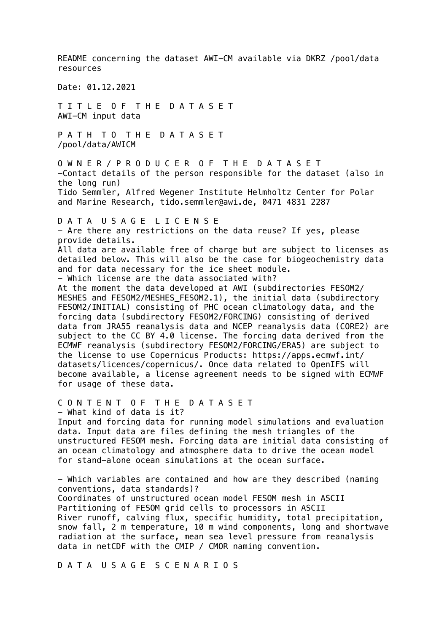README concerning the dataset AWI-CM available via DKRZ /pool/data resources Date: 01.12.2021 T I T L E O F T H E D A T A S E T AWI-CM input data P A T H T O T H E D A T A S E T /pool/data/AWICM O W N E R / P R O D U C E R O F T H E D A T A S E T -Contact details of the person responsible for the dataset (also in the long run) Tido Semmler, Alfred Wegener Institute Helmholtz Center for Polar and Marine Research, tido.semmler@awi.de, 0471 4831 2287 D A T A U S A G E L I C E N S E - Are there any restrictions on the data reuse? If yes, please provide details. All data are available free of charge but are subject to licenses as detailed below. This will also be the case for biogeochemistry data and for data necessary for the ice sheet module. - Which license are the data associated with? At the moment the data developed at AWI (subdirectories FESOM2/ MESHES and FESOM2/MESHES\_FESOM2.1), the initial data (subdirectory FESOM2/INITIAL) consisting of PHC ocean climatology data, and the forcing data (subdirectory FESOM2/FORCING) consisting of derived data from JRA55 reanalysis data and NCEP reanalysis data (CORE2) are subject to the CC BY 4.0 license. The forcing data derived from the ECMWF reanalysis (subdirectory FESOM2/FORCING/ERA5) are subject to the license to use Copernicus Products: https://apps.ecmwf.int/ datasets/licences/copernicus/. Once data related to OpenIFS will become available, a license agreement needs to be signed with ECMWF for usage of these data. C O N T E N T O F T H E D A T A S E T - What kind of data is it? Input and forcing data for running model simulations and evaluation data. Input data are files defining the mesh triangles of the unstructured FESOM mesh. Forcing data are initial data consisting of an ocean climatology and atmosphere data to drive the ocean model for stand-alone ocean simulations at the ocean surface. - Which variables are contained and how are they described (naming conventions, data standards)? Coordinates of unstructured ocean model FESOM mesh in ASCII Partitioning of FESOM grid cells to processors in ASCII River runoff, calving flux, specific humidity, total precipitation, snow fall, 2 m temperature, 10 m wind components, long and shortwave radiation at the surface, mean sea level pressure from reanalysis data in netCDF with the CMIP / CMOR naming convention.

D A T A U S A G E S C E N A R I O S